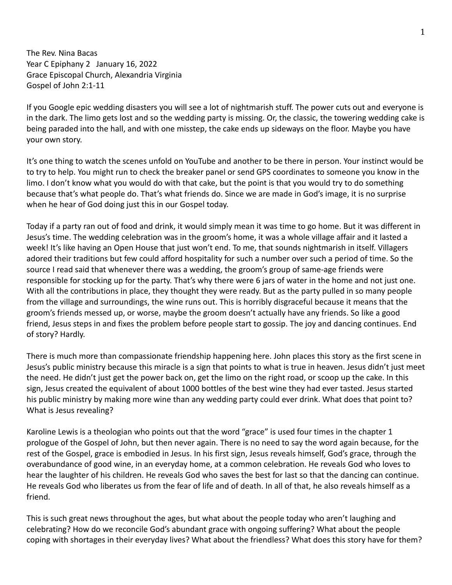The Rev. Nina Bacas Year C Epiphany 2 January 16, 2022 Grace Episcopal Church, Alexandria Virginia Gospel of John 2:1-11

If you Google epic wedding disasters you will see a lot of nightmarish stuff. The power cuts out and everyone is in the dark. The limo gets lost and so the wedding party is missing. Or, the classic, the towering wedding cake is being paraded into the hall, and with one misstep, the cake ends up sideways on the floor. Maybe you have your own story.

It's one thing to watch the scenes unfold on YouTube and another to be there in person. Your instinct would be to try to help. You might run to check the breaker panel or send GPS coordinates to someone you know in the limo. I don't know what you would do with that cake, but the point is that you would try to do something because that's what people do. That's what friends do. Since we are made in God's image, it is no surprise when he hear of God doing just this in our Gospel today.

Today if a party ran out of food and drink, it would simply mean it was time to go home. But it was different in Jesus's time. The wedding celebration was in the groom's home, it was a whole village affair and it lasted a week! It's like having an Open House that just won't end. To me, that sounds nightmarish in itself. Villagers adored their traditions but few could afford hospitality for such a number over such a period of time. So the source I read said that whenever there was a wedding, the groom's group of same-age friends were responsible for stocking up for the party. That's why there were 6 jars of water in the home and not just one. With all the contributions in place, they thought they were ready. But as the party pulled in so many people from the village and surroundings, the wine runs out. This is horribly disgraceful because it means that the groom's friends messed up, or worse, maybe the groom doesn't actually have any friends. So like a good friend, Jesus steps in and fixes the problem before people start to gossip. The joy and dancing continues. End of story? Hardly.

There is much more than compassionate friendship happening here. John places this story as the first scene in Jesus's public ministry because this miracle is a sign that points to what is true in heaven. Jesus didn't just meet the need. He didn't just get the power back on, get the limo on the right road, or scoop up the cake. In this sign, Jesus created the equivalent of about 1000 bottles of the best wine they had ever tasted. Jesus started his public ministry by making more wine than any wedding party could ever drink. What does that point to? What is Jesus revealing?

Karoline Lewis is a theologian who points out that the word "grace" is used four times in the chapter 1 prologue of the Gospel of John, but then never again. There is no need to say the word again because, for the rest of the Gospel, grace is embodied in Jesus. In his first sign, Jesus reveals himself, God's grace, through the overabundance of good wine, in an everyday home, at a common celebration. He reveals God who loves to hear the laughter of his children. He reveals God who saves the best for last so that the dancing can continue. He reveals God who liberates us from the fear of life and of death. In all of that, he also reveals himself as a friend.

This is such great news throughout the ages, but what about the people today who aren't laughing and celebrating? How do we reconcile God's abundant grace with ongoing suffering? What about the people coping with shortages in their everyday lives? What about the friendless? What does this story have for them?